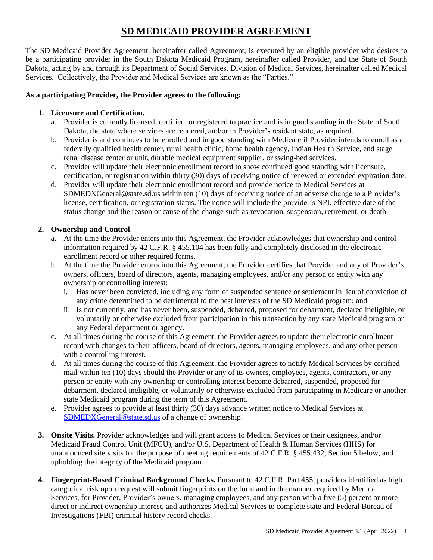# **SD MEDICAID PROVIDER AGREEMENT**

The SD Medicaid Provider Agreement, hereinafter called Agreement, is executed by an eligible provider who desires to be a participating provider in the South Dakota Medicaid Program, hereinafter called Provider, and the State of South Dakota, acting by and through its Department of Social Services, Division of Medical Services, hereinafter called Medical Services. Collectively, the Provider and Medical Services are known as the "Parties."

### **As a participating Provider, the Provider agrees to the following:**

### **1. Licensure and Certification.**

- a. Provider is currently licensed, certified, or registered to practice and is in good standing in the State of South Dakota, the state where services are rendered, and/or in Provider's resident state, as required.
- b. Provider is and continues to be enrolled and in good standing with Medicare if Provider intends to enroll as a federally qualified health center, rural health clinic, home health agency, Indian Health Service, end stage renal disease center or unit, durable medical equipment supplier, or swing-bed services.
- c. Provider will update their electronic enrollment record to show continued good standing with licensure, certification, or registration within thirty (30) days of receiving notice of renewed or extended expiration date.
- d. Provider will update their electronic enrollment record and provide notice to Medical Services at SDMEDXGeneral@state.sd.us within ten (10) days of receiving notice of an adverse change to a Provider's license, certification, or registration status. The notice will include the provider's NPI, effective date of the status change and the reason or cause of the change such as revocation, suspension, retirement, or death.

### **2. Ownership and Control**.

- a. At the time the Provider enters into this Agreement, the Provider acknowledges that ownership and control information required by 42 C.F.R. § 455.104 has been fully and completely disclosed in the electronic enrollment record or other required forms.
- b. At the time the Provider enters into this Agreement, the Provider certifies that Provider and any of Provider's owners, officers, board of directors, agents, managing employees, and/or any person or entity with any ownership or controlling interest:
	- i. Has never been convicted, including any form of suspended sentence or settlement in lieu of conviction of any crime determined to be detrimental to the best interests of the SD Medicaid program; and
	- ii. Is not currently, and has never been, suspended, debarred, proposed for debarment, declared ineligible, or voluntarily or otherwise excluded from participation in this transaction by any state Medicaid program or any Federal department or agency.
- c. At all times during the course of this Agreement, the Provider agrees to update their electronic enrollment record with changes to their officers, board of directors, agents, managing employees, and any other person with a controlling interest.
- d. At all times during the course of this Agreement, the Provider agrees to notify Medical Services by certified mail within ten (10) days should the Provider or any of its owners, employees, agents, contractors, or any person or entity with any ownership or controlling interest become debarred, suspended, proposed for debarment, declared ineligible, or voluntarily or otherwise excluded from participating in Medicare or another state Medicaid program during the term of this Agreement.
- e. Provider agrees to provide at least thirty (30) days advance written notice to Medical Services at [SDMEDXGeneral@state.sd.us](mailto:SDMEDXGeneral@state.sd.us) of a change of ownership.
- **3. Onsite Visits.** Provider acknowledges and will grant access to Medical Services or their designees, and/or Medicaid Fraud Control Unit (MFCU), and/or U.S. Department of Health & Human Services (HHS) for unannounced site visits for the purpose of meeting requirements of 42 C.F.R. § 455.432, Section 5 below, and upholding the integrity of the Medicaid program.
- **4. Fingerprint-Based Criminal Background Checks.** Pursuant to 42 C.F.R. Part 455, providers identified as high categorical risk upon request will submit fingerprints on the form and in the manner required by Medical Services, for Provider, Provider's owners, managing employees, and any person with a five (5) percent or more direct or indirect ownership interest, and authorizes Medical Services to complete state and Federal Bureau of Investigations (FBI) criminal history record checks.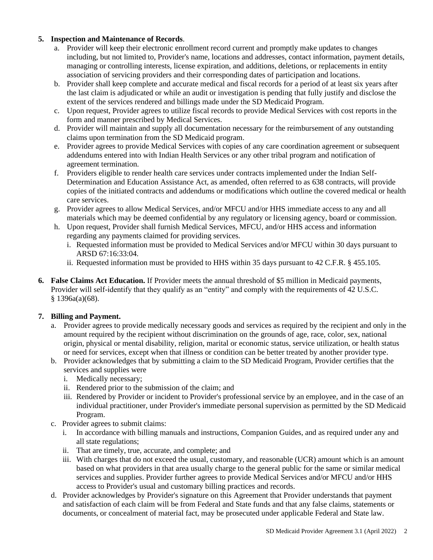### **5. Inspection and Maintenance of Records**.

- a. Provider will keep their electronic enrollment record current and promptly make updates to changes including, but not limited to, Provider's name, locations and addresses, contact information, payment details, managing or controlling interests, license expiration, and additions, deletions, or replacements in entity association of servicing providers and their corresponding dates of participation and locations.
- b. Provider shall keep complete and accurate medical and fiscal records for a period of at least six years after the last claim is adjudicated or while an audit or investigation is pending that fully justify and disclose the extent of the services rendered and billings made under the SD Medicaid Program.
- c. Upon request, Provider agrees to utilize fiscal records to provide Medical Services with cost reports in the form and manner prescribed by Medical Services.
- d. Provider will maintain and supply all documentation necessary for the reimbursement of any outstanding claims upon termination from the SD Medicaid program.
- e. Provider agrees to provide Medical Services with copies of any care coordination agreement or subsequent addendums entered into with Indian Health Services or any other tribal program and notification of agreement termination.
- f. Providers eligible to render health care services under contracts implemented under the Indian Self-Determination and Education Assistance Act, as amended, often referred to as 638 contracts, will provide copies of the initiated contracts and addendums or modifications which outline the covered medical or health care services.
- g. Provider agrees to allow Medical Services, and/or MFCU and/or HHS immediate access to any and all materials which may be deemed confidential by any regulatory or licensing agency, board or commission.
- h. Upon request, Provider shall furnish Medical Services, MFCU, and/or HHS access and information regarding any payments claimed for providing services.
	- i. Requested information must be provided to Medical Services and/or MFCU within 30 days pursuant to ARSD 67:16:33:04.
	- ii. Requested information must be provided to HHS within 35 days pursuant to 42 C.F.R. § 455.105.
- **6. False Claims Act Education.** If Provider meets the annual threshold of \$5 million in Medicaid payments, Provider will self-identify that they qualify as an "entity" and comply with the requirements of 42 U.S.C. § 1396a(a)(68).

#### **7. Billing and Payment.**

- a. Provider agrees to provide medically necessary goods and services as required by the recipient and only in the amount required by the recipient without discrimination on the grounds of age, race, color, sex, national origin, physical or mental disability, religion, marital or economic status, service utilization, or health status or need for services, except when that illness or condition can be better treated by another provider type.
- b. Provider acknowledges that by submitting a claim to the SD Medicaid Program, Provider certifies that the services and supplies were
	- i. Medically necessary;
	- ii. Rendered prior to the submission of the claim; and
	- iii. Rendered by Provider or incident to Provider's professional service by an employee, and in the case of an individual practitioner, under Provider's immediate personal supervision as permitted by the SD Medicaid Program.
- c. Provider agrees to submit claims:
	- i. In accordance with billing manuals and instructions, Companion Guides, and as required under any and all state regulations;
	- ii. That are timely, true, accurate, and complete; and
	- iii. With charges that do not exceed the usual, customary, and reasonable (UCR) amount which is an amount based on what providers in that area usually charge to the general public for the same or similar medical services and supplies. Provider further agrees to provide Medical Services and/or MFCU and/or HHS access to Provider's usual and customary billing practices and records.
- d. Provider acknowledges by Provider's signature on this Agreement that Provider understands that payment and satisfaction of each claim will be from Federal and State funds and that any false claims, statements or documents, or concealment of material fact, may be prosecuted under applicable Federal and State law.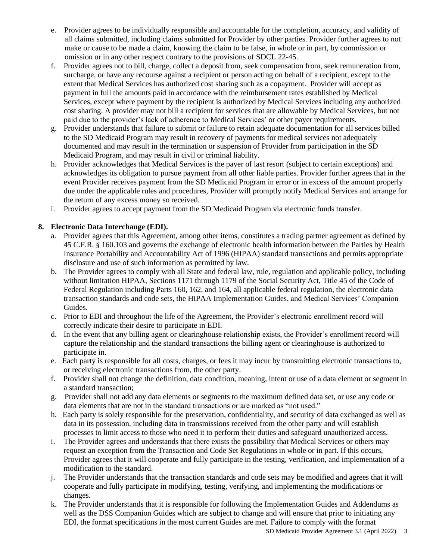- e. Provider agrees to be individually responsible and accountable for the completion, accuracy, and validity of all claims submitted, including claims submitted for Provider by other parties. Provider further agrees to not make or cause to be made a claim, knowing the claim to be false, in whole or in part, by commission or omission or in any other respect contrary to the provisions of SDCL 22-45.
- f. Provider agrees not to bill, charge, collect a deposit from, seek compensation from, seek remuneration from, surcharge, or have any recourse against a recipient or person acting on behalf of a recipient, except to the extent that Medical Services has authorized cost sharing such as a copayment. Provider will accept as payment in full the amounts paid in accordance with the reimbursement rates established by Medical Services, except where payment by the recipient is authorized by Medical Services including any authorized cost sharing. A provider may not bill a recipient for services that are allowable by Medical Services, but not paid due to the provider's lack of adherence to Medical Services' or other payer requirements.
- g. Provider understands that failure to submit or failure to retain adequate documentation for all services billed to the SD Medicaid Program may result in recovery of payments for medical services not adequately documented and may result in the termination or suspension of Provider from participation in the SD Medicaid Program, and may result in civil or criminal liability.
- h. Provider acknowledges that Medical Services is the payer of last resort (subject to certain exceptions) and acknowledges its obligation to pursue payment from all other liable parties. Provider further agrees that in the event Provider receives payment from the SD Medicaid Program in error or in excess of the amount properly due under the applicable rules and procedures, Provider will promptly notify Medical Services and arrange for the return of any excess money so received.
- i. Provider agrees to accept payment from the SD Medicaid Program via electronic funds transfer.

## **8. Electronic Data Interchange (EDI).**

- a. Provider agrees that this Agreement, among other items, constitutes a trading partner agreement as defined by 45 C.F.R. § 160.103 and governs the exchange of electronic health information between the Parties by Health Insurance Portability and Accountability Act of 1996 (HIPAA) standard transactions and permits appropriate disclosure and use of such information as permitted by law.
- b. The Provider agrees to comply with all State and federal law, rule, regulation and applicable policy, including without limitation HIPAA, Sections 1171 through 1179 of the Social Security Act, Title 45 of the Code of Federal Regulation including Parts 160, 162, and 164, all applicable federal regulation, the electronic data transaction standards and code sets, the HIPAA Implementation Guides, and Medical Services' Companion Guides.
- c. Prior to EDI and throughout the life of the Agreement, the Provider's electronic enrollment record will correctly indicate their desire to participate in EDI.
- d. In the event that any billing agent or clearinghouse relationship exists, the Provider's enrollment record will capture the relationship and the standard transactions the billing agent or clearinghouse is authorized to participate in.
- e. Each party is responsible for all costs, charges, or fees it may incur by transmitting electronic transactions to, or receiving electronic transactions from, the other party.
- f. Provider shall not change the definition, data condition, meaning, intent or use of a data element or segment in a standard transaction;
- g. Provider shall not add any data elements or segments to the maximum defined data set, or use any code or data elements that are not in the standard transactions or are marked as "not used."
- h. Each party is solely responsible for the preservation, confidentiality, and security of data exchanged as well as data in its possession, including data in transmissions received from the other party and will establish processes to limit access to those who need it to perform their duties and safeguard unauthorized access.
- i. The Provider agrees and understands that there exists the possibility that Medical Services or others may request an exception from the Transaction and Code Set Regulations in whole or in part. If this occurs, Provider agrees that it will cooperate and fully participate in the testing, verification, and implementation of a modification to the standard.
- j. The Provider understands that the transaction standards and code sets may be modified and agrees that it will cooperate and fully participate in modifying, testing, verifying, and implementing the modifications or changes.
- k. The Provider understands that it is responsible for following the Implementation Guides and Addendums as well as the DSS Companion Guides which are subject to change and will ensure that prior to initiating any EDI, the format specifications in the most current Guides are met. Failure to comply with the format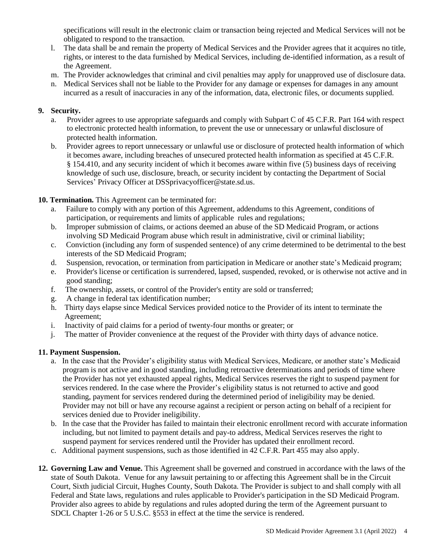specifications will result in the electronic claim or transaction being rejected and Medical Services will not be obligated to respond to the transaction.

- l. The data shall be and remain the property of Medical Services and the Provider agrees that it acquires no title, rights, or interest to the data furnished by Medical Services, including de-identified information, as a result of the Agreement.
- m. The Provider acknowledges that criminal and civil penalties may apply for unapproved use of disclosure data.
- n. Medical Services shall not be liable to the Provider for any damage or expenses for damages in any amount incurred as a result of inaccuracies in any of the information, data, electronic files, or documents supplied.

### **9. Security.**

- a. Provider agrees to use appropriate safeguards and comply with Subpart C of 45 C.F.R. Part 164 with respect to electronic protected health information, to prevent the use or unnecessary or unlawful disclosure of protected health information.
- b. Provider agrees to report unnecessary or unlawful use or disclosure of protected health information of which it becomes aware, including breaches of unsecured protected health information as specified at 45 C.F.R. § 154.410, and any security incident of which it becomes aware within five (5) business days of receiving knowledge of such use, disclosure, breach, or security incident by contacting the Department of Social Services' Privacy Officer at DSSprivacyofficer@state.sd.us.

### **10. Termination.** This Agreement can be terminated for:

- a. Failure to comply with any portion of this Agreement, addendums to this Agreement, conditions of participation, or requirements and limits of applicable rules and regulations;
- b. Improper submission of claims, or actions deemed an abuse of the SD Medicaid Program, or actions involving SD Medicaid Program abuse which result in administrative, civil or criminal liability;
- c. Conviction (including any form of suspended sentence) of any crime determined to be detrimental to the best interests of the SD Medicaid Program;
- d. Suspension, revocation, or termination from participation in Medicare or another state's Medicaid program;
- e. Provider's license or certification is surrendered, lapsed, suspended, revoked, or is otherwise not active and in good standing;
- f. The ownership, assets, or control of the Provider's entity are sold or transferred;
- g. A change in federal tax identification number;
- h. Thirty days elapse since Medical Services provided notice to the Provider of its intent to terminate the Agreement;
- i. Inactivity of paid claims for a period of twenty-four months or greater; or
- j. The matter of Provider convenience at the request of the Provider with thirty days of advance notice.

#### **11. Payment Suspension.**

- a. In the case that the Provider's eligibility status with Medical Services, Medicare, or another state's Medicaid program is not active and in good standing, including retroactive determinations and periods of time where the Provider has not yet exhausted appeal rights, Medical Services reserves the right to suspend payment for services rendered. In the case where the Provider's eligibility status is not returned to active and good standing, payment for services rendered during the determined period of ineligibility may be denied. Provider may not bill or have any recourse against a recipient or person acting on behalf of a recipient for services denied due to Provider ineligibility.
- b. In the case that the Provider has failed to maintain their electronic enrollment record with accurate information including, but not limited to payment details and pay-to address, Medical Services reserves the right to suspend payment for services rendered until the Provider has updated their enrollment record.
- c. Additional payment suspensions, such as those identified in 42 C.F.R. Part 455 may also apply.
- **12. Governing Law and Venue.** This Agreement shall be governed and construed in accordance with the laws of the state of South Dakota. Venue for any lawsuit pertaining to or affecting this Agreement shall be in the Circuit Court, Sixth judicial Circuit, Hughes County, South Dakota. The Provider is subject to and shall comply with all Federal and State laws, regulations and rules applicable to Provider's participation in the SD Medicaid Program. Provider also agrees to abide by regulations and rules adopted during the term of the Agreement pursuant to SDCL Chapter 1-26 or 5 U.S.C. §553 in effect at the time the service is rendered.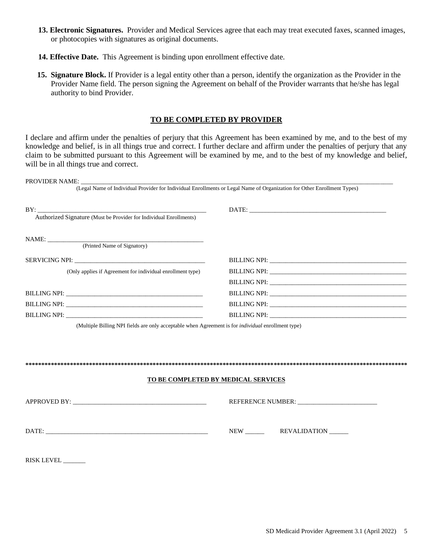- **13. Electronic Signatures.** Provider and Medical Services agree that each may treat executed faxes, scanned images, or photocopies with signatures as original documents.
- **14. Effective Date.** This Agreement is binding upon enrollment effective date.
- **15. Signature Block.** If Provider is a legal entity other than a person, identify the organization as the Provider in the Provider Name field. The person signing the Agreement on behalf of the Provider warrants that he/she has legal authority to bind Provider.

#### **TO BE COMPLETED BY PROVIDER**

I declare and affirm under the penalties of perjury that this Agreement has been examined by me, and to the best of my knowledge and belief, is in all things true and correct. I further declare and affirm under the penalties of perjury that any claim to be submitted pursuant to this Agreement will be examined by me, and to the best of my knowledge and belief, will be in all things true and correct.

| PROVIDER NAME: __________                                                 |                                                                                                                         |
|---------------------------------------------------------------------------|-------------------------------------------------------------------------------------------------------------------------|
|                                                                           | (Legal Name of Individual Provider for Individual Enrollments or Legal Name of Organization for Other Enrollment Types) |
| BY:<br>Authorized Signature (Must be Provider for Individual Enrollments) |                                                                                                                         |
|                                                                           |                                                                                                                         |
| NAME:                                                                     |                                                                                                                         |
| (Printed Name of Signatory)                                               |                                                                                                                         |
|                                                                           |                                                                                                                         |
| (Only applies if Agreement for individual enrollment type)                |                                                                                                                         |
|                                                                           |                                                                                                                         |
|                                                                           |                                                                                                                         |
|                                                                           |                                                                                                                         |
|                                                                           |                                                                                                                         |
|                                                                           |                                                                                                                         |
|                                                                           | TO BE COMPLETED BY MEDICAL SERVICES                                                                                     |
|                                                                           |                                                                                                                         |
|                                                                           | NEW REVALIDATION                                                                                                        |
| RISK LEVEL                                                                |                                                                                                                         |